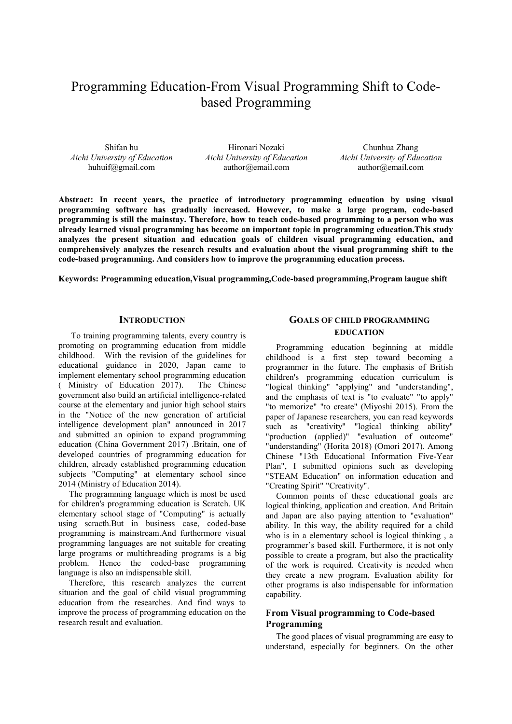# Programming Education-From Visual Programming Shift to Codebased Programming

Shifan hu *Aichi University of Education* huhuif@gmail.com

Hironari Nozaki *Aichi University of Education* author@email.com

Chunhua Zhang *Aichi University of Education* author@email.com

**Abstract: In recent years, the practice of introductory programming education by using visual programming software has gradually increased. However, to make a large program, code-based programming is still the mainstay. Therefore, how to teach code-based programming to a person who was already learned visual programming has become an important topic in programming education.This study analyzes the present situation and education goals of children visual programming education, and comprehensively analyzes the research results and evaluation about the visual programming shift to the code-based programming. And considers how to improve the programming education process.** 

**Keywords: Programming education,Visual programming,Code-based programming,Program laugue shift**

## **INTRODUCTION**

 To training programming talents, every country is promoting on programming education from middle childhood. With the revision of the guidelines for educational guidance in 2020, Japan came to implement elementary school programming education ( Ministry of Education 2017). The Chinese government also build an artificial intelligence-related course at the elementary and junior high school stairs in the "Notice of the new generation of artificial intelligence development plan" announced in 2017 and submitted an opinion to expand programming education (China Government 2017) .Britain, one of developed countries of programming education for children, already established programming education subjects "Computing" at elementary school since 2014 (Ministry of Education 2014).

The programming language which is most be used for children's programming education is Scratch. UK elementary school stage of "Computing" is actually using scracth.But in business case, coded-base programming is mainstream.And furthermore visual programming languages are not suitable for creating large programs or multithreading programs is a big problem. Hence the coded-base programming language is also an indispensable skill.

Therefore, this research analyzes the current situation and the goal of child visual programming education from the researches. And find ways to improve the process of programming education on the research result and evaluation.

# **GOALS OF CHILD PROGRAMMING EDUCATION**

Programming education beginning at middle childhood is a first step toward becoming a programmer in the future. The emphasis of British children's programming education curriculum is "logical thinking" "applying" and "understanding", and the emphasis of text is "to evaluate" "to apply" "to memorize" "to create" (Miyoshi 2015). From the paper of Japanese researchers, you can read keywords such as "creativity" "logical thinking ability" "production (applied)" "evaluation of outcome" "understanding" (Horita 2018) (Omori 2017). Among Chinese "13th Educational Information Five-Year Plan", I submitted opinions such as developing "STEAM Education" on information education and "Creating Spirit" "Creativity".

Common points of these educational goals are logical thinking, application and creation. And Britain and Japan are also paying attention to "evaluation" ability. In this way, the ability required for a child who is in a elementary school is logical thinking , a programmer's based skill. Furthermore, it is not only possible to create a program, but also the practicality of the work is required. Creativity is needed when they create a new program. Evaluation ability for other programs is also indispensable for information capability.

# **From Visual programming to Code-based Programming**

The good places of visual programming are easy to understand, especially for beginners. On the other